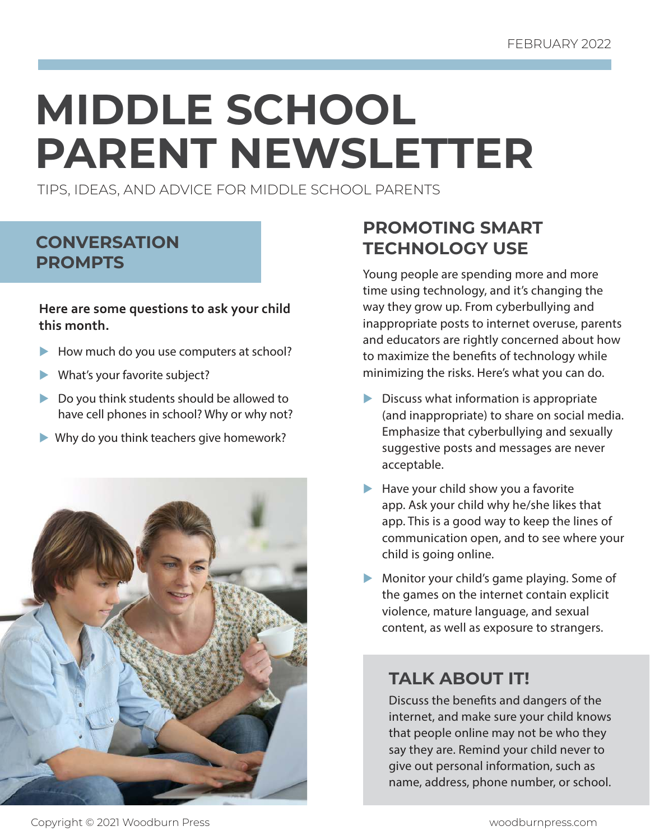# **MIDDLE SCHOOL PARENT NEWSLETTER**

TIPS, IDEAS, AND ADVICE FOR MIDDLE SCHOOL PARENTS

# **CONVERSATION PROMPTS**

**Here are some questions to ask your child this month.**

- $\blacktriangleright$  How much do you use computers at school?
- What's your favorite subject?
- $\triangleright$  Do you think students should be allowed to have cell phones in school? Why or why not?
- $\blacktriangleright$  Why do you think teachers give homework?



# **PROMOTING SMART TECHNOLOGY USE**

Young people are spending more and more time using technology, and it's changing the way they grow up. From cyberbullying and inappropriate posts to internet overuse, parents and educators are rightly concerned about how to maximize the benefits of technology while minimizing the risks. Here's what you can do.

- $\triangleright$  Discuss what information is appropriate (and inappropriate) to share on social media. Emphasize that cyberbullying and sexually suggestive posts and messages are never acceptable.
- $\blacktriangleright$  Have your child show you a favorite app. Ask your child why he/she likes that app. This is a good way to keep the lines of communication open, and to see where your child is going online.
- $\blacktriangleright$  Monitor your child's game playing. Some of the games on the internet contain explicit violence, mature language, and sexual content, as well as exposure to strangers.

# **TALK ABOUT IT!**

Discuss the benefits and dangers of the internet, and make sure your child knows that people online may not be who they say they are. Remind your child never to give out personal information, such as name, address, phone number, or school.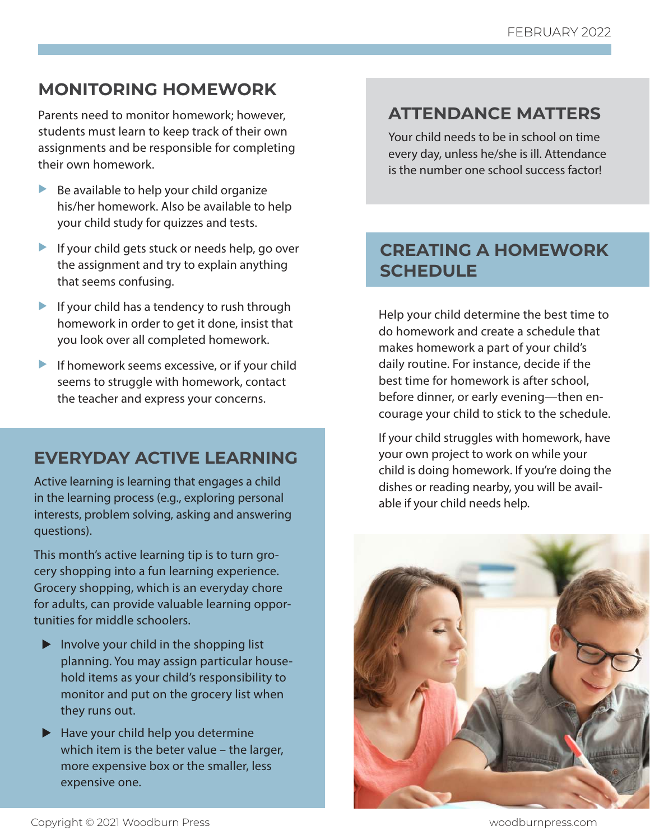# **MONITORING HOMEWORK**

Parents need to monitor homework; however, students must learn to keep track of their own assignments and be responsible for completing their own homework.

- $\blacktriangleright$  Be available to help your child organize his/her homework. Also be available to help your child study for quizzes and tests.
- If your child gets stuck or needs help, go over the assignment and try to explain anything that seems confusing.
- If your child has a tendency to rush through homework in order to get it done, insist that you look over all completed homework.
- If homework seems excessive, or if your child seems to struggle with homework, contact the teacher and express your concerns.

# **EVERYDAY ACTIVE LEARNING**

Active learning is learning that engages a child in the learning process (e.g., exploring personal interests, problem solving, asking and answering questions).

This month's active learning tip is to turn grocery shopping into a fun learning experience. Grocery shopping, which is an everyday chore for adults, can provide valuable learning opportunities for middle schoolers.

- $\blacktriangleright$  Involve your child in the shopping list planning. You may assign particular household items as your child's responsibility to monitor and put on the grocery list when they runs out.
- $\blacktriangleright$  Have your child help you determine which item is the beter value – the larger, more expensive box or the smaller, less expensive one.

# **ATTENDANCE MATTERS**

Your child needs to be in school on time every day, unless he/she is ill. Attendance is the number one school success factor!

# **CREATING A HOMEWORK SCHEDULE**

Help your child determine the best time to do homework and create a schedule that makes homework a part of your child's daily routine. For instance, decide if the best time for homework is after school, before dinner, or early evening—then encourage your child to stick to the schedule.

If your child struggles with homework, have your own project to work on while your child is doing homework. If you're doing the dishes or reading nearby, you will be available if your child needs help.

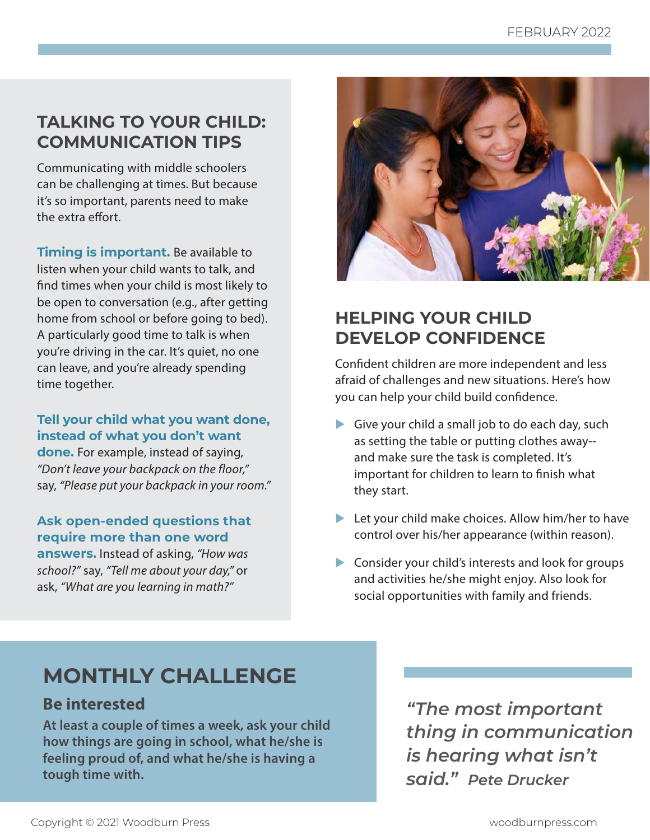# **TALKING TO YOUR CHILD: COMMUNICATION TIPS**

Communicating with middle schoolers can be challenging at times. But because it's so important, parents need to make the extra effort.

**Timing is important.** Be available to listen when your child wants to talk, and find times when your child is most likely to be open to conversation (e.g., after getting home from school or before going to bed). A particularly good time to talk is when you're driving in the car. It's quiet, no one can leave, and you're already spending time together.

**Tell your child what you want done, instead of what you don't want** 

**done.** For example, instead of saying, "Don't leave your backpack on the floor," say, "Please put your backpack in your room."

#### **Ask open-ended questions that require more than one word**

**answers.** Instead of asking, "How was school?" say, "Tell me about your day," or ask, "What are you learning in math?"



# **HELPING YOUR CHILD DEVELOP CONFIDENCE**

Confident children are more independent and less afraid of challenges and new situations. Here's how you can help your child build confidence.

- Give your child a small job to do each day, such as setting the table or putting clothes away- and make sure the task is completed. It's important for children to learn to finish what they start.
- $\blacktriangleright$  Let your child make choices. Allow him/her to have control over his/her appearance (within reason).
- $\triangleright$  Consider your child's interests and look for groups and activities he/she might enjoy. Also look for social opportunities with family and friends.

# **MONTHLY CHALLENGE**

## **Be interested**

**At least a couple of times a week, ask your child how things are going in school, what he/she is feeling proud of, and what he/she is having a tough time with.** 

*"The most important thing in communication is hearing what isn't said." Pete Drucker*